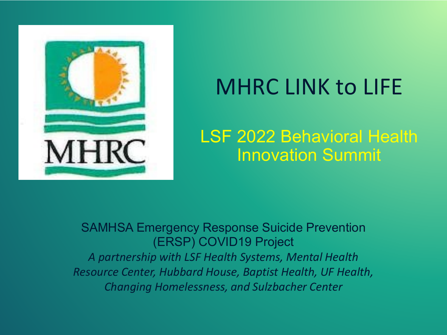

# MHRC LINK to LIFE

LSF 2022 Behavioral Health Innovation Summit

#### SAMHSA Emergency Response Suicide Prevention (ERSP) COVID19 Project

*A partnership with LSF Health Systems, Mental Health Resource Center, Hubbard House, Baptist Health, UF Health, Changing Homelessness, and Sulzbacher Center*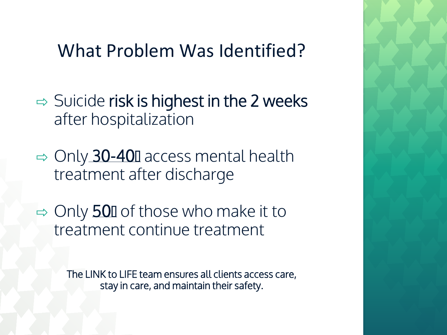#### What Problem Was Identified?

- $\Rightarrow$  Suicide risk is highest in the 2 weeks after hospitalization
- $\Rightarrow$  Only 30-400 access mental health treatment after discharge
- $\Rightarrow$  Only 500 of those who make it to treatment continue treatment

The LINK to LIFE team ensures all clients access care, stay in care, and maintain their safety.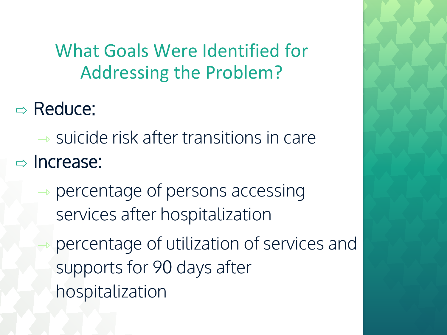What Goals Were Identified for Addressing the Problem?

- ⇨ Reduce:
- $\rightarrow$  suicide risk after transitions in care  $\Rightarrow$  Increase:
	- $\rightarrow$  percentage of persons accessing services after hospitalization
	- ⇾ percentage of utilization of services and supports for 90 days after hospitalization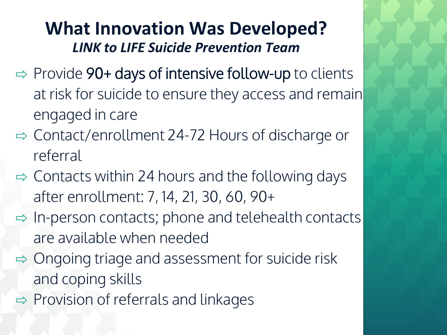#### **What Innovation Was Developed?** *LINK to LIFE Suicide Prevention Team*

- $\Rightarrow$  Provide 90+ days of intensive follow-up to clients at risk for suicide to ensure they access and remain engaged in care
- $\Rightarrow$  Contact/enrollment 24-72 Hours of discharge or referral
- $\Rightarrow$  Contacts within 24 hours and the following days after enrollment: 7, 14, 21, 30, 60, 90+
- $\Rightarrow$  In-person contacts; phone and telehealth contacts are available when needed
- $\Rightarrow$  Ongoing triage and assessment for suicide risk and coping skills
- $\Rightarrow$  Provision of referrals and linkages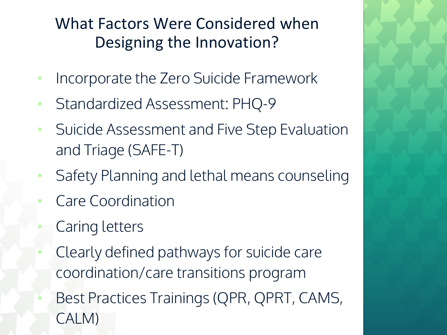#### What Factors Were Considered when Designing the Innovation?

- Incorporate the Zero Suicide Framework
- Standardized Assessment: PHQ-9
- Suicide Assessment and Five Step Evaluation and Triage (SAFE-T)
- Safety Planning and lethal means counseling
- Care Coordination
- Caring letters
- Clearly defined pathways for suicide care coordination/care transitions program
- Best Practices Trainings (QPR, QPRT, CAMS, CALM)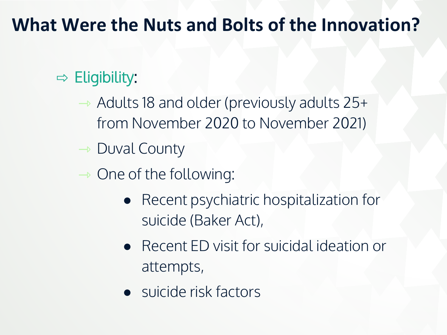### **What Were the Nuts and Bolts of the Innovation?**

#### $\Rightarrow$  Eligibility:

⇾ Adults 18 and older (previously adults 25+ from November 2020 to November 2021)

 $\rightarrow$  Duval County

 $\rightarrow$  One of the following:

- Recent psychiatric hospitalization for suicide (Baker Act),
- Recent ED visit for suicidal ideation or attempts,
- suicide risk factors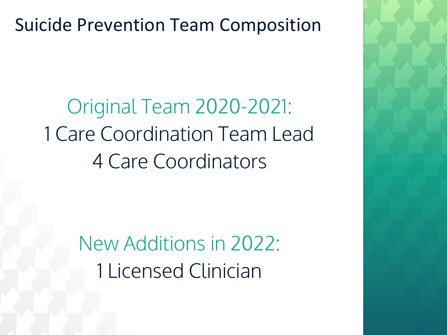### Suicide Prevention Team Composition

Original Team 2020-2021: 1 Care Coordination Team Lead 4 Care Coordinators

> New Additions in 2022: 1 Licensed Clinician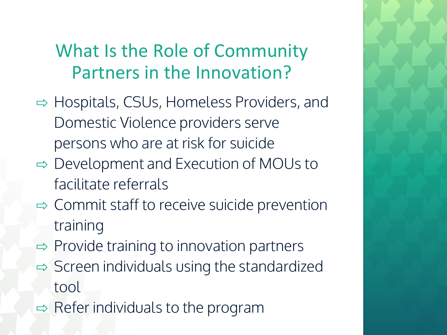# What Is the Role of Community Partners in the Innovation?

- ⇨ Hospitals, CSUs, Homeless Providers, and Domestic Violence providers serve persons who are at risk for suicide
- ⇨ Development and Execution of MOUs to facilitate referrals
- ⇨ Commit staff to receive suicide prevention training
- $\Rightarrow$  Provide training to innovation partners
- $\Rightarrow$  Screen individuals using the standardized tool
- $\Rightarrow$  Refer individuals to the program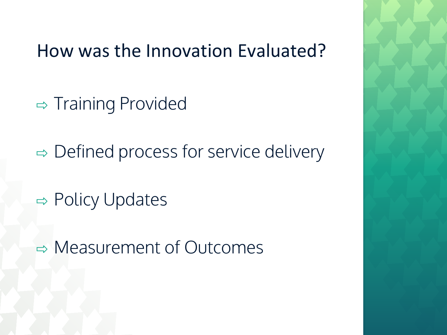#### How was the Innovation Evaluated?

- $\Rightarrow$  Training Provided
- $\Rightarrow$  Defined process for service delivery
- $\Rightarrow$  Policy Updates
- ⇨ Measurement of Outcomes

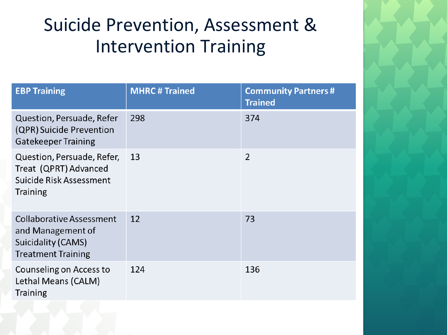# Suicide Prevention, Assessment & Intervention Training

| <b>EBP Training</b>                                                                                     | <b>MHRC # Trained</b> | <b>Community Partners#</b><br><b>Trained</b> |
|---------------------------------------------------------------------------------------------------------|-----------------------|----------------------------------------------|
| Question, Persuade, Refer<br>(QPR) Suicide Prevention<br><b>Gatekeeper Training</b>                     | 298                   | 374                                          |
| Question, Persuade, Refer,<br>Treat (QPRT) Advanced<br>Suicide Risk Assessment<br><b>Training</b>       | 13                    | $\overline{2}$                               |
| <b>Collaborative Assessment</b><br>and Management of<br>Suicidality (CAMS)<br><b>Treatment Training</b> | 12                    | 73                                           |
| Counseling on Access to<br>Lethal Means (CALM)<br><b>Training</b>                                       | 124                   | 136                                          |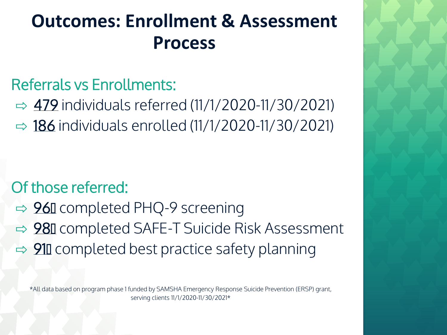## **Outcomes: Enrollment & Assessment Process**

#### Referrals vs Enrollments:

 $\Rightarrow$  479 individuals referred (11/1/2020-11/30/2021)  $\Rightarrow$  186 individuals enrolled (11/1/2020-11/30/2021)

#### Of those referred:

- **⇒ 96** completed PHQ-9 screening
- **□ 98** completed SAFE-T Suicide Risk Assessment
- $\Rightarrow$  910 completed best practice safety planning

\*All data based on program phase 1 funded by SAMSHA Emergency Response Suicide Prevention (ERSP) grant, serving clients 11/1/2020-11/30/2021\*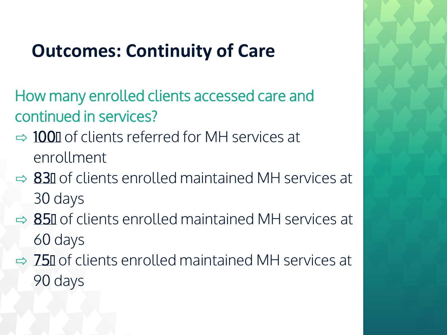## **Outcomes: Continuity of Care**

- How many enrolled clients accessed care and continued in services?
- $\Rightarrow$  1000 of clients referred for MH services at enrollment
- $\Rightarrow$  830 of clients enrolled maintained MH services at 30 days
- $\Rightarrow$  850 of clients enrolled maintained MH services at 60 days
- $\Rightarrow$  750 of clients enrolled maintained MH services at 90 days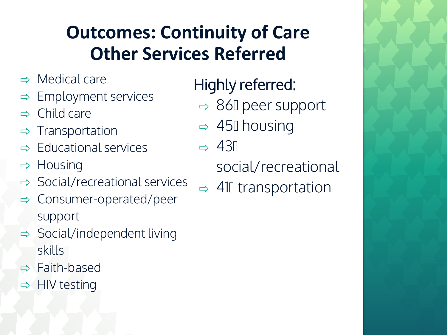# **Outcomes: Continuity of Care Other Services Referred**

- $\Rightarrow$  Medical care
- $\Rightarrow$  Employment services
- $\Rightarrow$  Child care
- $\Rightarrow$  Transportation
- $\Rightarrow$  Educational services
- ⇨ Housing
- $\Rightarrow$  Social/recreational services
- $\Rightarrow$  Consumer-operated/peer support
- $\Rightarrow$  Social/independent living skills
- ⇨ Faith-based
- $\Rightarrow$  HIV testing

Highly referred:

- $\Rightarrow$  860 peer support
- $\Rightarrow$  450 housing
- $\Rightarrow$  430

social/recreational

 $\Rightarrow$  410 transportation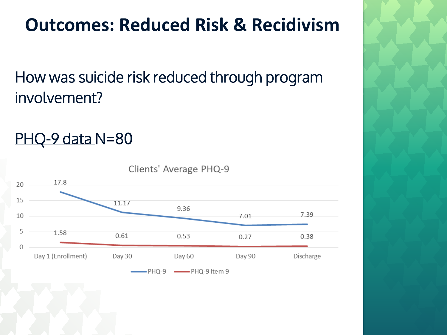# **Outcomes: Reduced Risk & Recidivism**

How was suicide risk reduced through program involvement?

PHQ-9 data N=80

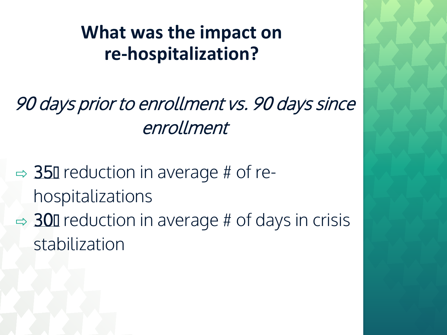## **What was the impact on re-hospitalization?**

90 days prior to enrollment vs. 90 days since enrollment

 $\Rightarrow$  350 reduction in average # of rehospitalizations  $\Rightarrow$  300 reduction in average # of days in crisis stabilization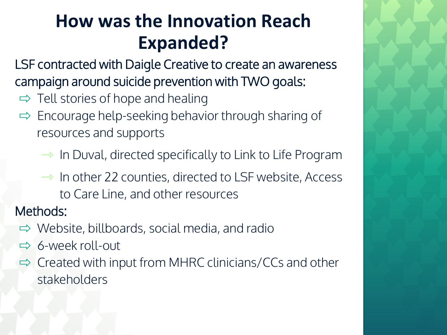# **How was the Innovation Reach Expanded?**

LSF contracted with Daigle Creative to create an awareness campaign around suicide prevention with TWO goals:

- $\Rightarrow$  Tell stories of hope and healing
- $\Rightarrow$  Encourage help-seeking behavior through sharing of resources and supports
	- $\rightarrow$  In Duval, directed specifically to Link to Life Program
	- $\rightarrow$  In other 22 counties, directed to LSF website, Access to Care Line, and other resources

Methods:

- $\Rightarrow$  Website, billboards, social media, and radio
- ⇨ 6-week roll-out
- $\Rightarrow$  Created with input from MHRC clinicians/CCs and other stakeholders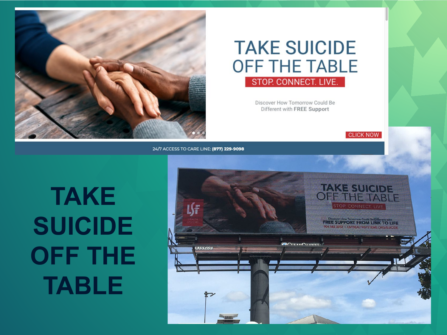

#### **TAKE SUICIDE OFF THE TABLE** STOP. CONNECT. LIVE.

Discover How Tomorrow Could Be Different with FREE Support

**CLICK NOW** 

24/7 ACCESS TO CARE LINE: (877) 229-9098

# **TAKE SUICIDE OFF THE TABLE**

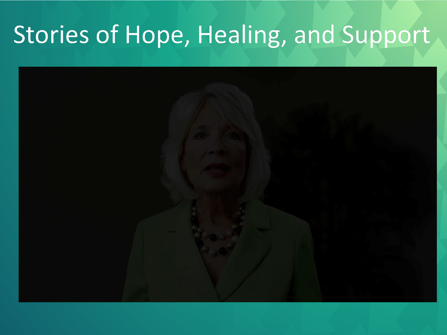# Stories of Hope, Healing, and Support

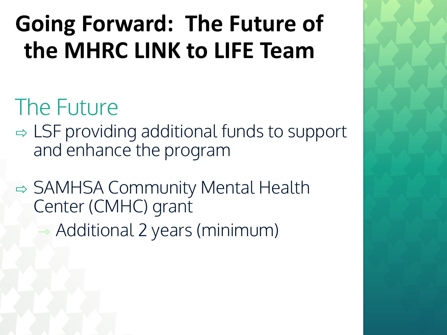# **Going Forward: The Future of the MHRC LINK to LIFE Team**

# The Future

- $\Rightarrow$  LSF providing additional funds to support and enhance the program
- **□ SAMHSA Community Mental Health** Center (CMHC) grant ⇾ Additional 2 years (minimum)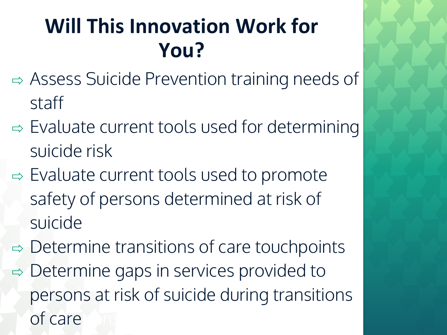# **Will This Innovation Work for You?**

- ⇨ Assess Suicide Prevention training needs of staff
- $\Rightarrow$  Evaluate current tools used for determining suicide risk
- $\Rightarrow$  Evaluate current tools used to promote safety of persons determined at risk of suicide
- $\Rightarrow$  Determine transitions of care touchpoints  $\Rightarrow$  Determine gaps in services provided to persons at risk of suicide during transitions of care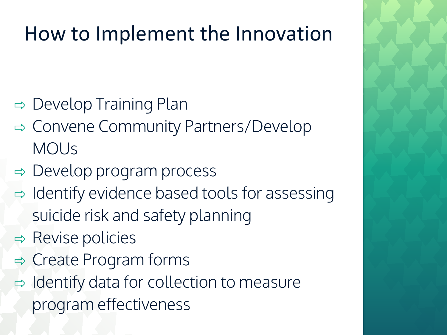# How to Implement the Innovation

- $\Rightarrow$  Develop Training Plan
- ⇨ Convene Community Partners/Develop MOUs
- $\Rightarrow$  Develop program process
- $\Rightarrow$  Identify evidence based tools for assessing suicide risk and safety planning
- $\Rightarrow$  Revise policies
- $\Rightarrow$  Create Program forms
- $\Rightarrow$  Identify data for collection to measure program effectiveness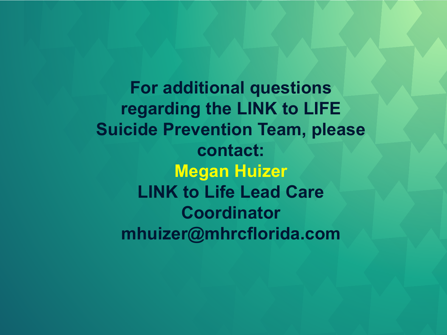**For additional questions regarding the LINK to LIFE Suicide Prevention Team, please contact: Megan Huizer LINK to Life Lead Care Coordinator mhuizer@mhrcflorida.com**